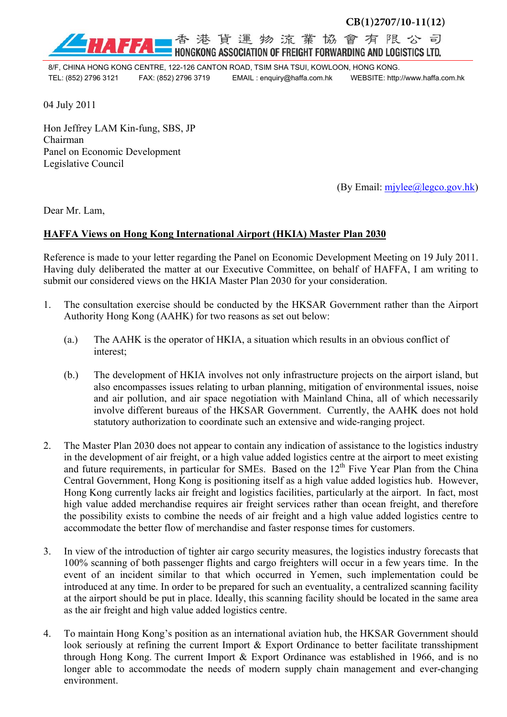

港貨運物流業協會有限公司 HONGKONG ASSOCIATION OF FREIGHT FORWARDING AND LOGISTICS LTD.

8/F, CHINA HONG KONG CENTRE, 122-126 CANTON ROAD, TSIM SHA TSUI, KOWLOON, HONG KONG. TEL: (852) 2796 3121 FAX: (852) 2796 3719 EMAIL : enquiry@haffa.com.hk WEBSITE: http://www.haffa.com.hk

04 July 2011

Hon Jeffrey LAM Kin-fung, SBS, JP Chairman Panel on Economic Development Legislative Council

(By Email: mjylee@legco.gov.hk)

Dear Mr. Lam,

## **HAFFA Views on Hong Kong International Airport (HKIA) Master Plan 2030**

Reference is made to your letter regarding the Panel on Economic Development Meeting on 19 July 2011. Having duly deliberated the matter at our Executive Committee, on behalf of HAFFA, I am writing to submit our considered views on the HKIA Master Plan 2030 for your consideration.

- 1. The consultation exercise should be conducted by the HKSAR Government rather than the Airport Authority Hong Kong (AAHK) for two reasons as set out below:
	- (a.) The AAHK is the operator of HKIA, a situation which results in an obvious conflict of interest;
	- (b.) The development of HKIA involves not only infrastructure projects on the airport island, but also encompasses issues relating to urban planning, mitigation of environmental issues, noise and air pollution, and air space negotiation with Mainland China, all of which necessarily involve different bureaus of the HKSAR Government. Currently, the AAHK does not hold statutory authorization to coordinate such an extensive and wide-ranging project.
- 2. The Master Plan 2030 does not appear to contain any indication of assistance to the logistics industry in the development of air freight, or a high value added logistics centre at the airport to meet existing and future requirements, in particular for SMEs. Based on the  $12<sup>th</sup>$  Five Year Plan from the China Central Government, Hong Kong is positioning itself as a high value added logistics hub. However, Hong Kong currently lacks air freight and logistics facilities, particularly at the airport. In fact, most high value added merchandise requires air freight services rather than ocean freight, and therefore the possibility exists to combine the needs of air freight and a high value added logistics centre to accommodate the better flow of merchandise and faster response times for customers.
- 3. In view of the introduction of tighter air cargo security measures, the logistics industry forecasts that 100% scanning of both passenger flights and cargo freighters will occur in a few years time. In the event of an incident similar to that which occurred in Yemen, such implementation could be introduced at any time. In order to be prepared for such an eventuality, a centralized scanning facility at the airport should be put in place. Ideally, this scanning facility should be located in the same area as the air freight and high value added logistics centre.
- 4. To maintain Hong Kong's position as an international aviation hub, the HKSAR Government should look seriously at refining the current Import & Export Ordinance to better facilitate transshipment through Hong Kong. The current Import & Export Ordinance was established in 1966, and is no longer able to accommodate the needs of modern supply chain management and ever-changing environment.